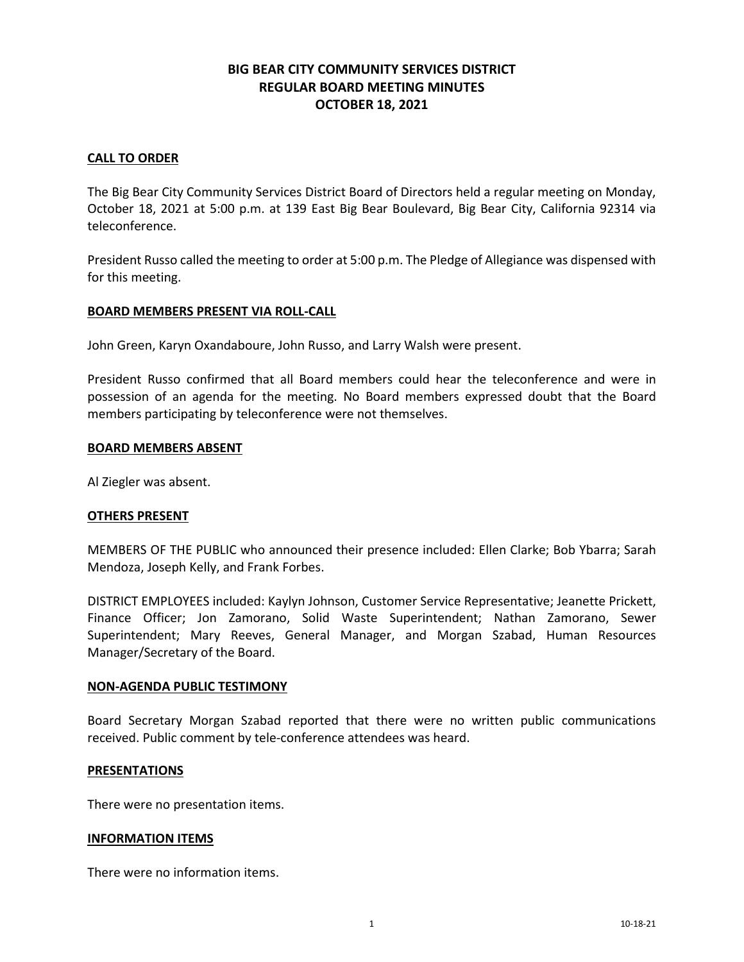# **BIG BEAR CITY COMMUNITY SERVICES DISTRICT REGULAR BOARD MEETING MINUTES OCTOBER 18, 2021**

# **CALL TO ORDER**

The Big Bear City Community Services District Board of Directors held a regular meeting on Monday, October 18, 2021 at 5:00 p.m. at 139 East Big Bear Boulevard, Big Bear City, California 92314 via teleconference.

President Russo called the meeting to order at 5:00 p.m. The Pledge of Allegiance was dispensed with for this meeting.

### **BOARD MEMBERS PRESENT VIA ROLL-CALL**

John Green, Karyn Oxandaboure, John Russo, and Larry Walsh were present.

President Russo confirmed that all Board members could hear the teleconference and were in possession of an agenda for the meeting. No Board members expressed doubt that the Board members participating by teleconference were not themselves.

#### **BOARD MEMBERS ABSENT**

Al Ziegler was absent.

#### **OTHERS PRESENT**

MEMBERS OF THE PUBLIC who announced their presence included: Ellen Clarke; Bob Ybarra; Sarah Mendoza, Joseph Kelly, and Frank Forbes.

DISTRICT EMPLOYEES included: Kaylyn Johnson, Customer Service Representative; Jeanette Prickett, Finance Officer; Jon Zamorano, Solid Waste Superintendent; Nathan Zamorano, Sewer Superintendent; Mary Reeves, General Manager, and Morgan Szabad, Human Resources Manager/Secretary of the Board.

#### **NON-AGENDA PUBLIC TESTIMONY**

Board Secretary Morgan Szabad reported that there were no written public communications received. Public comment by tele-conference attendees was heard.

#### **PRESENTATIONS**

There were no presentation items.

#### **INFORMATION ITEMS**

There were no information items.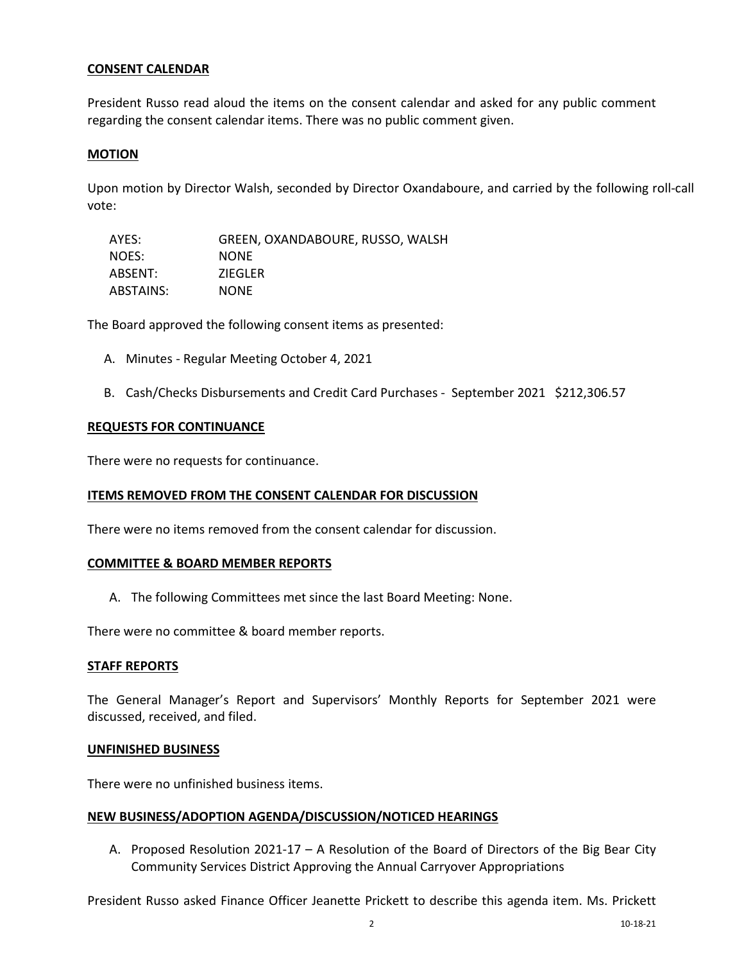### **CONSENT CALENDAR**

President Russo read aloud the items on the consent calendar and asked for any public comment regarding the consent calendar items. There was no public comment given.

### **MOTION**

Upon motion by Director Walsh, seconded by Director Oxandaboure, and carried by the following roll-call vote:

| AYES:     | GREEN, OXANDABOURE, RUSSO, WALSH |
|-----------|----------------------------------|
| NOES:     | <b>NONE</b>                      |
| ABSENT:   | <b>ZIEGLER</b>                   |
| ABSTAINS: | <b>NONE</b>                      |

The Board approved the following consent items as presented:

- A. Minutes Regular Meeting October 4, 2021
- B. Cash/Checks Disbursements and Credit Card Purchases September 2021 \$212,306.57

### **REQUESTS FOR CONTINUANCE**

There were no requests for continuance.

### **ITEMS REMOVED FROM THE CONSENT CALENDAR FOR DISCUSSION**

There were no items removed from the consent calendar for discussion.

### **COMMITTEE & BOARD MEMBER REPORTS**

A. The following Committees met since the last Board Meeting: None.

There were no committee & board member reports.

### **STAFF REPORTS**

The General Manager's Report and Supervisors' Monthly Reports for September 2021 were discussed, received, and filed.

### **UNFINISHED BUSINESS**

There were no unfinished business items.

### **NEW BUSINESS/ADOPTION AGENDA/DISCUSSION/NOTICED HEARINGS**

A. Proposed Resolution 2021-17 – A Resolution of the Board of Directors of the Big Bear City Community Services District Approving the Annual Carryover Appropriations

President Russo asked Finance Officer Jeanette Prickett to describe this agenda item. Ms. Prickett